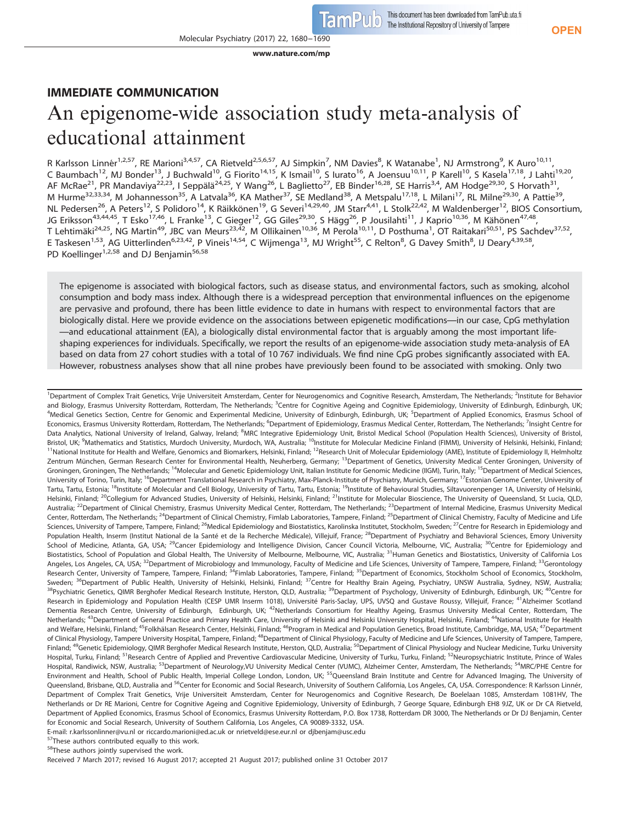**OPEN**

# IMMEDIATE COMMUNICATION An epigenome-wide association study meta-analysis of educational attainment

[www.nature.com/mp](http://www.nature.com/mp)

R Karlsson Linnér<sup>1,2,57</sup>, RE Marioni<sup>3,4,57</sup>, CA Rietveld<sup>2,5,6,57</sup>, AJ Simpkin<sup>7</sup>, NM Davies<sup>8</sup>, K Watanabe<sup>1</sup>, NJ Armstrong<sup>9</sup>, K Auro<sup>10,11</sup>, C Baumbach<sup>12</sup>, MJ Bonder<sup>13</sup>, J Buchwald<sup>10</sup>, G Fiorito<sup>14,15</sup>, K Ismail<sup>10</sup>, S Iurato<sup>16</sup>, A Joensuu<sup>10,11</sup>, P Karell<sup>10</sup>, S Kasela<sup>17,18</sup>, J Lahti<sup>19,20</sup>, AF McRae<sup>21</sup>, PR Mandaviya<sup>22,23</sup>, I Seppälä<sup>24,25</sup>, Y Wang<sup>26</sup>, L Baglietto<sup>27</sup>, EB Binder<sup>16,28</sup>, SE Harris<sup>3,4</sup>, AM Hodge<sup>29,30</sup>, S Horvath<sup>31</sup>, M Hurme<sup>32,33,34</sup>, M Johannesson<sup>35</sup>, A Latvala<sup>36</sup>, KA Mather<sup>37</sup>, SE Medland<sup>38</sup>, A Metspalu<sup>17,18</sup>, L Milani<sup>17</sup>, RL Milne<sup>29,30</sup>, A Pattie<sup>39</sup>, NL Pedersen<sup>26</sup>, A Peters<sup>12</sup>, S Polidoro<sup>14</sup>, K Räikkönen<sup>19</sup>, G Severi<sup>14,29,40</sup>, JM Starr<sup>4,41</sup>, L Stolk<sup>22,42</sup>, M Waldenberger<sup>12</sup>, BIOS Consortium, JG Eriksson<sup>43,44,45</sup>, T Esko<sup>17,46</sup>, L Franke<sup>13</sup>, C Gieger<sup>12</sup>, GG Giles<sup>29,30</sup>, S Hägg<sup>26</sup>, P Jousilahti<sup>11</sup>, J Kaprio<sup>10,36</sup>, M Kähönen<sup>47,48</sup>, T Lehtimäki<sup>24,25</sup>, NG Martin<sup>49</sup>, JBC van Meurs<sup>23,42</sup>, M Ollikainen<sup>10,36</sup>, M Perola<sup>10,11</sup>, D Posthuma<sup>1</sup>, OT Raitakari<sup>50,51</sup>, PS Sachdev<sup>37,52</sup>, E Taskesen<sup>1,53</sup>, AG Uitterlinden<sup>6,23,42</sup>, P Vineis<sup>14,54</sup>, C Wijmenga<sup>13</sup>, MJ Wright<sup>55</sup>, C Relton<sup>8</sup>, G Davey Smith<sup>8</sup>, IJ Deary<sup>4,39,58</sup>, PD Koellinger<sup>1,2,58</sup> and DJ Benjamin<sup>56,58</sup>

The epigenome is associated with biological factors, such as disease status, and environmental factors, such as smoking, alcohol consumption and body mass index. Although there is a widespread perception that environmental influences on the epigenome are pervasive and profound, there has been little evidence to date in humans with respect to environmental factors that are biologically distal. Here we provide evidence on the associations between epigenetic modifications—in our case, CpG methylation —and educational attainment (EA), a biologically distal environmental factor that is arguably among the most important lifeshaping experiences for individuals. Specifically, we report the results of an epigenome-wide association study meta-analysis of EA based on data from 27 cohort studies with a total of 10 767 individuals. We find nine CpG probes significantly associated with EA. However, robustness analyses show that all nine probes have previously been found to be associated with smoking. Only two

<sup>1</sup> Department of Complex Trait Genetics, Vrije Universiteit Amsterdam, Center for Neurogenomics and Cognitive Research, Amsterdam, The Netherlands; <sup>2</sup>Institute for Behavior and Biology, Erasmus University Rotterdam, Rotterdam, The Netherlands; <sup>3</sup>Centre for Cognitive Ageing and Cognitive Epidemiology, University of Edinburgh, Edinburgh, Edinburgh, UK; <sup>4</sup>Medical Genetics Section, Centre for Genomic and Experimental Medicine, University of Edinburgh, Edinburgh, UK; <sup>5</sup>Department of Applied Economics, Erasmus School of Economics, Erasmus University Rotterdam, Rotterdam, The Netherlands; <sup>6</sup>Department of Epidemiology, Erasmus Medical Center, Rotterdam, The Netherlands; <sup>7</sup>Insight Centre for Data Analytics, National University of Ireland, Galway, Ireland; <sup>8</sup>MRC Integrative Epidemiology Unit, Bristol Medical School (Population Health Sciences), University of Bristol, Bristol, UK; <sup>9</sup>Mathematics and Statistics, Murdoch University, Murdoch, WA, Australia; <sup>10</sup>Institute for Molecular Medicine Finland (FIMM), University of Helsinki, Helsinki, Finland; <sup>11</sup>National Institute for Health and Welfare, Genomics and Biomarkers, Helsinki, Finland; <sup>12</sup>Research Unit of Molecular Epidemiology (AME), Institute of Epidemiology II, Helmholtz Zentrum München, German Research Center for Environmental Health, Neuherberg, Germany; <sup>13</sup>Department of Genetics, University Medical Center Groningen, University of Groningen, Groningen, The Netherlands; <sup>14</sup>Molecular and Genetic Epidemiology Unit, Italian Institute for Genomic Medicine (IIGM), Turin, Italy; <sup>15</sup>Department of Medical Sciences, University of Torino, Turin, Italy; <sup>16</sup>Department Translational Research in Psychiatry, Max-Planck-Institute of Psychiatry, Munich, Germany; <sup>17</sup>Estonian Genome Center, University of Tartu, Tartu, Estonia; <sup>18</sup>Institute of Molecular and Cell Biology, University of Tartu, Tartu, Estonia; <sup>19</sup>Institute of Behavioural Studies, Siltavuorenpenger 1A, University of Helsinki, Helsinki, Finland; <sup>20</sup>Collegium for Advanced Studies, University of Helsinki, Helsinki, Finland; <sup>21</sup>Institute for Molecular Bioscience, The University of Queensland, St Lucia, QLD, Australia; <sup>22</sup>Department of Clinical Chemistry, Erasmus University Medical Center, Rotterdam, The Netherlands; <sup>23</sup>Department of Internal Medicine, Erasmus University Medical Center, Rotterdam, The Netherlands; <sup>24</sup>Department of Clinical Chemistry, Fimlab Laboratories, Tampere, Finland; <sup>25</sup>Department of Clinical Chemistry, Faculty of Medicine and Life Sciences, University of Tampere, Tampere, Finland; <sup>26</sup>Medical Epidemiology and Biostatistics, Karolinska Institutet, Stockholm, Sweden; <sup>27</sup>Centre for Research in Epidemiology and Population Health, Inserm (Institut National de la Santé et de la Recherche Médicale), Villejuif, France; <sup>28</sup>Department of Psychiatry and Behavioral Sciences, Emory University School of Medicine, Atlanta, GA, USA; <sup>29</sup>Cancer Epidemiology and Intelligence Division, Cancer Council Victoria, Melbourne, VIC, Australia; <sup>30</sup>Centre for Epidemiology and Biostatistics, School of Population and Global Health, The University of Melbourne, Melbourne, VIC, Australia; <sup>31</sup>Human Genetics and Biostatistics, University of California Los Angeles, Los Angeles, CA, USA; <sup>32</sup>Department of Microbiology and Immunology, Faculty of Medicine and Life Sciences, University of Tampere, Tampere, Finland; <sup>33</sup>Gerontology Research Center, University of Tampere, Tampere, Finland; <sup>34</sup>Fimlab Laboratories, Tampere, Finland; <sup>35</sup>Department of Economics, Stockholm School of Economics, Stockholm, Sweden; <sup>36</sup>Department of Public Health, University of Helsinki, Helsinki, Finland; <sup>37</sup>Centre for Healthy Brain Ageing, Psychiatry, UNSW Australia, Sydney, NSW, Australia; <sup>38</sup>Psychiatric Genetics, QIMR Berghofer Medical Research Institute, Herston, QLD, Australia; <sup>39</sup>Department of Psychology, University of Edinburgh, Edinburgh, UK; <sup>40</sup>Centre for Research in Epidemiology and Population Health (CESP UMR Inserm 1018), Université Paris-Saclay, UPS, UVSQ and Gustave Roussy, Villejuif, France; <sup>41</sup>Alzheimer Scotland Dementia Research Centre, University of Edinburgh, Edinburgh, UK; <sup>42</sup>Netherlands Consortium for Healthy Ageing, Erasmus University Medical Center, Rotterdam, The Netherlands; <sup>43</sup>Department of General Practice and Primary Health Care, University of Helsinki and Helsinki University Hospital, Helsinki, Finland; <sup>44</sup>National Institute for Health and Welfare, Helsinki, Finland; <sup>45</sup>Folkhälsan Research Center, Helsinki, Finland; <sup>46</sup>Program in Medical and Population Genetics, Broad Institute, Cambridge, MA, USA; <sup>47</sup>Department of Clinical Physiology, Tampere University Hospital, Tampere, Finland; <sup>48</sup>Department of Clinical Physiology, Faculty of Medicine and Life Sciences, University of Tampere, Tampere, Finland; <sup>49</sup>Genetic Epidemiology, QIMR Berghofer Medical Research Institute, Herston, QLD, Australia; <sup>50</sup>Department of Clinical Physiology and Nuclear Medicine, Turku University Hospital, Turku, Finland; <sup>51</sup>Research Centre of Applied and Preventive Cardiovascular Medicine, University of Turku, Turku, Finland; <sup>52</sup>Neuropsychiatric Institute, Prince of Wales Hospital, Randiwick, NSW, Australia; <sup>53</sup>Department of Neurology,VU University Medical Center (VUMC), Alzheimer Center, Amsterdam, The Netherlands; <sup>54</sup>MRC/PHE Centre for Environment and Health, School of Public Health, Imperial College London, London, UK; <sup>55</sup>Queensland Brain Institute and Centre for Advanced Imaging, The University of Queensland, Brisbane, QLD, Australia and <sup>56</sup>Center for Economic and Social Research, University of Southern California, Los Angeles, CA, USA. Correspondence: R Karlsson Linnér, Department of Complex Trait Genetics, Vrije Universiteit Amsterdam, Center for Neurogenomics and Cognitive Research, De Boelelaan 1085, Amsterdam 1081HV, The Netherlands or Dr RE Marioni, Centre for Cognitive Ageing and Cognitive Epidemiology, University of Edinburgh, 7 George Square, Edinburgh EH8 9JZ, UK or Dr CA Rietveld, Department of Applied Economics, Erasmus School of Economics, Erasmus University Rotterdam, P.O. Box 1738, Rotterdam DR 3000, The Netherlands or Dr DJ Benjamin, Center for Economic and Social Research, University of Southern California, Los Angeles, CA 90089-3332, USA.

E-mail: [r.karlssonlinner@vu.nl](mailto:r.karlssonlinner@vu.nl) or [riccardo.marioni@ed.ac.uk](mailto:riccardo.marioni@ed.ac.uk) or [nrietveld@ese.eur.nl](mailto:nrietveld@ese.eur.nl) or [djbenjam@usc.edu](mailto:djbenjam@usc.edu)

These authors contributed equally to this work. <sup>58</sup>These authors jointly supervised the work.

Received 7 March 2017; revised 16 August 2017; accepted 21 August 2017; published online 31 October 2017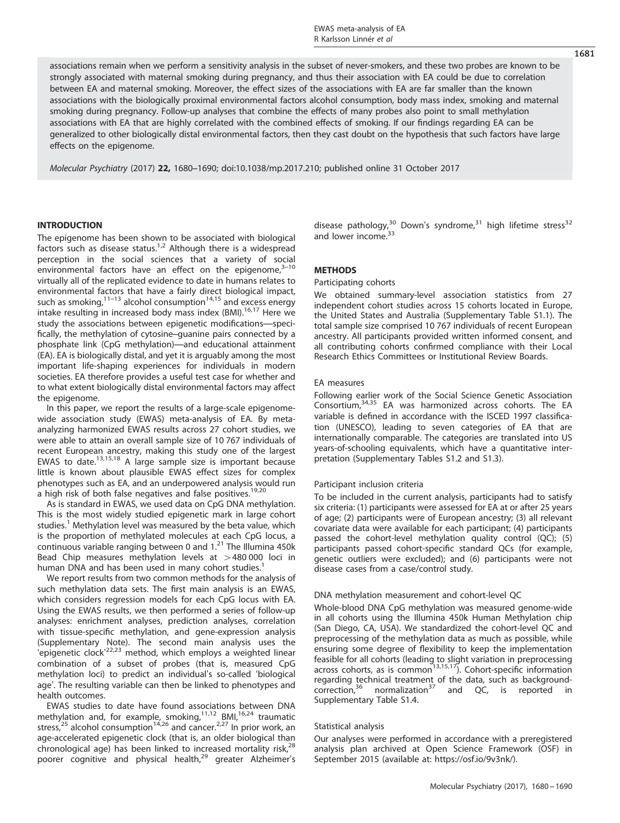associations remain when we perform a sensitivity analysis in the subset of never-smokers, and these two probes are known to be strongly associated with maternal smoking during pregnancy, and thus their association with EA could be due to correlation between EA and maternal smoking. Moreover, the effect sizes of the associations with EA are far smaller than the known associations with the biologically proximal environmental factors alcohol consumption, body mass index, smoking and maternal smoking during pregnancy. Follow-up analyses that combine the effects of many probes also point to small methylation associations with EA that are highly correlated with the combined effects of smoking. If our findings regarding EA can be generalized to other biologically distal environmental factors, then they cast doubt on the hypothesis that such factors have large effects on the epigenome.

Molecular Psychiatry (2017) 22, 1680–1690; doi:[10.1038/mp.2017.210;](http://dx.doi.org/10.1038/mp.2017.210) published online 31 October 2017

# **INTRODUCTION**

The epigenome has been shown to be associated with biological factors such as disease status.<sup>[1](#page-9-0),[2](#page-9-0)</sup> Although there is a widespread perception in the social sciences that a variety of social environmental factors have an effect on the epigenome, $3-10$  $3-10$ virtually all of the replicated evidence to date in humans relates to environmental factors that have a fairly direct biological impact, such as smoking, $1^{1-13}$  $1^{1-13}$  $1^{1-13}$  alcohol consumption $1^{4,15}$  $1^{4,15}$  $1^{4,15}$  and excess energy intake resulting in increased body mass index (BMI).<sup>[16](#page-9-0),[17](#page-9-0)</sup> Here we study the associations between epigenetic modifications—specifically, the methylation of cytosine–guanine pairs connected by a phosphate link (CpG methylation)—and educational attainment (EA). EA is biologically distal, and yet it is arguably among the most important life-shaping experiences for individuals in modern societies. EA therefore provides a useful test case for whether and to what extent biologically distal environmental factors may affect the epigenome.

In this paper, we report the results of a large-scale epigenomewide association study (EWAS) meta-analysis of EA. By metaanalyzing harmonized EWAS results across 27 cohort studies, we were able to attain an overall sample size of 10 767 individuals of recent European ancestry, making this study one of the largest EWAS to date.[13](#page-9-0),[15](#page-9-0),[18](#page-9-0) A large sample size is important because little is known about plausible EWAS effect sizes for complex phenotypes such as EA, and an underpowered analysis would run a high risk of both false negatives and false positives.<sup>[19,20](#page-9-0)</sup>

As is standard in EWAS, we used data on CpG DNA methylation. This is the most widely studied epigenetic mark in large cohort studies.<sup>[1](#page-9-0)</sup> Methylation level was measured by the beta value, which is the proportion of methylated molecules at each CpG locus, a continuous variable ranging between 0 and  $1.^{21}$  $1.^{21}$  $1.^{21}$  The Illumina 450k Bead Chip measures methylation levels at  $>480 000$  loci in human DNA and has been used in many cohort studies.<sup>[1](#page-9-0)</sup>

We report results from two common methods for the analysis of such methylation data sets. The first main analysis is an EWAS, which considers regression models for each CpG locus with EA. Using the EWAS results, we then performed a series of follow-up analyses: enrichment analyses, prediction analyses, correlation with tissue-specific methylation, and gene-expression analysis (Supplementary Note). The second main analysis uses the 'epigenetic clock<sup>'[22,23](#page-9-0)</sup> method, which employs a weighted linear combination of a subset of probes (that is, measured CpG methylation loci) to predict an individual's so-called 'biological age'. The resulting variable can then be linked to phenotypes and health outcomes.

EWAS studies to date have found associations between DNA methylation and, for example, smoking,<sup>[11,12](#page-9-0)</sup> BMI,<sup>[16,24](#page-9-0)</sup> traumatic stress, $25$  alcohol consumption<sup>[14,26](#page-9-0)</sup> and cancer.<sup>[2](#page-9-0),[27](#page-9-0)</sup> In prior work, an age-accelerated epigenetic clock (that is, an older biological than chronological age) has been linked to increased mortality risk, $^{28}$  $^{28}$  $^{28}$ poorer cognitive and physical health,<sup>[29](#page-9-0)</sup> greater Alzheimer's disease pathology,  $30$  Down's syndrome,  $31$  high lifetime stress  $32$ and lower income.<sup>[33](#page-9-0)</sup>

# **METHODS**

## Participating cohorts

We obtained summary-level association statistics from 27 independent cohort studies across 15 cohorts located in Europe, the United States and Australia (Supplementary Table S1.1). The total sample size comprised 10 767 individuals of recent European ancestry. All participants provided written informed consent, and all contributing cohorts confirmed compliance with their Local Research Ethics Committees or Institutional Review Boards.

## EA measures

Following earlier work of the Social Science Genetic Association Consortium,[34,35](#page-9-0) EA was harmonized across cohorts. The EA variable is defined in accordance with the ISCED 1997 classification (UNESCO), leading to seven categories of EA that are internationally comparable. The categories are translated into US years-of-schooling equivalents, which have a quantitative interpretation (Supplementary Tables S1.2 and S1.3).

#### Participant inclusion criteria

To be included in the current analysis, participants had to satisfy six criteria: (1) participants were assessed for EA at or after 25 years of age; (2) participants were of European ancestry; (3) all relevant covariate data were available for each participant; (4) participants passed the cohort-level methylation quality control (QC); (5) participants passed cohort-specific standard QCs (for example, genetic outliers were excluded); and (6) participants were not disease cases from a case/control study.

#### DNA methylation measurement and cohort-level QC

Whole-blood DNA CpG methylation was measured genome-wide in all cohorts using the Illumina 450k Human Methylation chip (San Diego, CA, USA). We standardized the cohort-level QC and preprocessing of the methylation data as much as possible, while ensuring some degree of flexibility to keep the implementation feasible for all cohorts (leading to slight variation in preprocessing<br>across cohorts, as is common<sup>[13](#page-9-0),15,17</sup>). Cohort-specific information regarding technical treatment of the data, such as background-correction,<sup>36</sup> normalization<sup>37</sup> and QC, is reported in  $correction<sup>36</sup>$  $correction<sup>36</sup>$  $correction<sup>36</sup>$  normalization<sup>[37](#page-9-0)</sup> Supplementary Table S1.4.

## Statistical analysis

Our analyses were performed in accordance with a preregistered analysis plan archived at Open Science Framework (OSF) in September 2015 (available at: [https://osf.io/9v3nk/\)](https://osf.io/9v3nk/).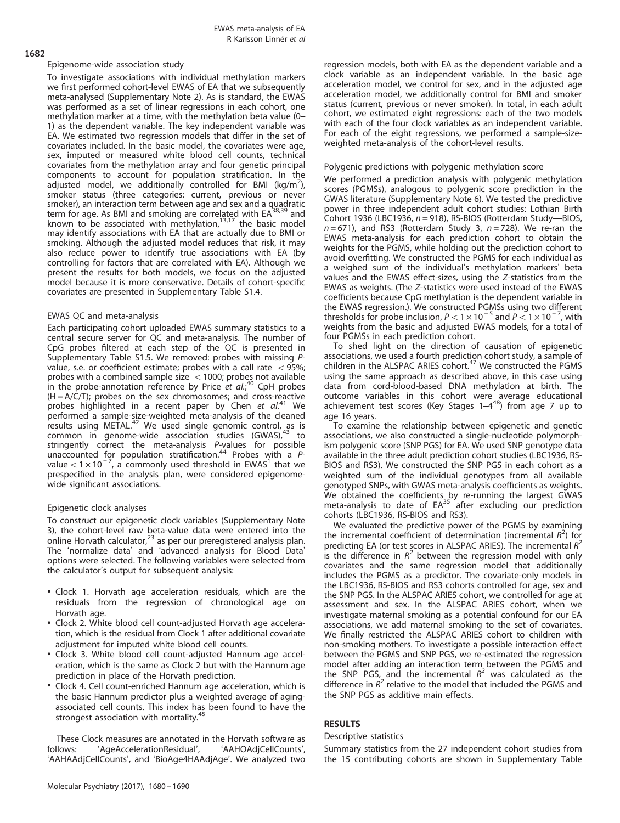## Epigenome-wide association study

1682

To investigate associations with individual methylation markers we first performed cohort-level EWAS of EA that we subsequently meta-analysed (Supplementary Note 2). As is standard, the EWAS was performed as a set of linear regressions in each cohort, one methylation marker at a time, with the methylation beta value (0– 1) as the dependent variable. The key independent variable was EA. We estimated two regression models that differ in the set of covariates included. In the basic model, the covariates were age, sex, imputed or measured white blood cell counts, technical covariates from the methylation array and four genetic principal components to account for population stratification. In the adjusted model, we additionally controlled for BMI (kg/m<sup>2</sup>), smoker status (three categories: current, previous or never smoker), an interaction term between age and sex and a quadratic<br>term for age. As BMI and smoking are correl<u>ate</u>d with EA<sup>[38](#page-9-0),[39](#page-9-0)</sup> and known to be associated with methylation, $13,17$  the basic model may identify associations with EA that are actually due to BMI or smoking. Although the adjusted model reduces that risk, it may also reduce power to identify true associations with EA (by controlling for factors that are correlated with EA). Although we present the results for both models, we focus on the adjusted model because it is more conservative. Details of cohort-specific covariates are presented in Supplementary Table S1.4.

# EWAS QC and meta-analysis

Each participating cohort uploaded EWAS summary statistics to a central secure server for QC and meta-analysis. The number of CpG probes filtered at each step of the QC is presented in Supplementary Table S1.5. We removed: probes with missing Pvalue, s.e. or coefficient estimate; probes with a call rate  $<$  95%; probes with a combined sample size  $<$  1000; probes not available in the probe-annotation reference by Price et  $al.^{40}$  $al.^{40}$  $al.^{40}$  CpH probes  $(H = A/C/T)$ ; probes on the sex chromosomes; and cross-reactive probes highlighted in a recent paper by Chen et  $al^{41}$  $al^{41}$  $al^{41}$  We performed a sample-size-weighted meta-analysis of the cleaned<br>results using METAL.<sup>[42](#page-9-0)</sup> We used single genomic control, as is common in genome-wide association studies (GWAS), [43](#page-9-0) to stringently correct the meta-analysis *P*-values for possible<br>unaccounted for population stratification.<sup>[44](#page-9-0)</sup> Probes with a *P*value  $< 1 \times 10^{-7}$  $< 1 \times 10^{-7}$  $< 1 \times 10^{-7}$ , a commonly used threshold in EWAS<sup>1</sup> that we prespecified in the analysis plan, were considered epigenomewide significant associations.

# Epigenetic clock analyses

To construct our epigenetic clock variables (Supplementary Note 3), the cohort-level raw beta-value data were entered into the online Horvath calculator,<sup>[23](#page-9-0)</sup> as per our preregistered analysis plan. The 'normalize data' and 'advanced analysis for Blood Data' options were selected. The following variables were selected from the calculator's output for subsequent analysis:

- Clock 1. Horvath age acceleration residuals, which are the residuals from the regression of chronological age on Horvath age.
- Clock 2. White blood cell count-adjusted Horvath age acceleration, which is the residual from Clock 1 after additional covariate adjustment for imputed white blood cell counts.
- Clock 3. White blood cell count-adjusted Hannum age acceleration, which is the same as Clock 2 but with the Hannum age prediction in place of the Horvath prediction.
- Clock 4. Cell count-enriched Hannum age acceleration, which is the basic Hannum predictor plus a weighted average of agingassociated cell counts. This index has been found to have the strongest association with mortality.[45](#page-9-0)

These Clock measures are annotated in the Horvath software as follows: 'AgeAccelerationResidual', 'AAHOAdjCellCounts', 'AAHAAdjCellCounts', and 'BioAge4HAAdjAge'. We analyzed two regression models, both with EA as the dependent variable and a clock variable as an independent variable. In the basic age acceleration model, we control for sex, and in the adjusted age acceleration model, we additionally control for BMI and smoker status (current, previous or never smoker). In total, in each adult cohort, we estimated eight regressions: each of the two models with each of the four clock variables as an independent variable. For each of the eight regressions, we performed a sample-sizeweighted meta-analysis of the cohort-level results.

# Polygenic predictions with polygenic methylation score

We performed a prediction analysis with polygenic methylation scores (PGMSs), analogous to polygenic score prediction in the GWAS literature (Supplementary Note 6). We tested the predictive power in three independent adult cohort studies: Lothian Birth Cohort 1936 (LBC1936,  $n = 918$ ), RS-BIOS (Rotterdam Study---BIOS,  $n = 671$ ), and RS3 (Rotterdam Study 3,  $n = 728$ ). We re-ran the EWAS meta-analysis for each prediction cohort to obtain the weights for the PGMS, while holding out the prediction cohort to avoid overfitting. We constructed the PGMS for each individual as a weighed sum of the individual's methylation markers' beta values and the EWAS effect-sizes, using the Z-statistics from the EWAS as weights. (The Z-statistics were used instead of the EWAS coefficients because CpG methylation is the dependent variable in the EWAS regression.). We constructed PGMSs using two different thresholds for probe inclusion,  $P < 1 \times 10^{-5}$  and  $P < 1 \times 10^{-7}$ , with weights from the basic and adjusted EWAS models, for a total of four PGMSs in each prediction cohort.

To shed light on the direction of causation of epigenetic associations, we used a fourth prediction cohort study, a sample of children in the ALSPAC ARIES cohort.<sup>[47](#page-10-0)</sup> We constructed the PGMS using the same approach as described above, in this case using data from cord-blood-based DNA methylation at birth. The outcome variables in this cohort were average educational<br>achievement test scores (Key Stages 1–4<sup>48</sup>) from age 7 up to age 16 years.

To examine the relationship between epigenetic and genetic associations, we also constructed a single-nucleotide polymorphism polygenic score (SNP PGS) for EA. We used SNP genotype data available in the three adult prediction cohort studies (LBC1936, RS-BIOS and RS3). We constructed the SNP PGS in each cohort as a weighted sum of the individual genotypes from all available genotyped SNPs, with GWAS meta-analysis coefficients as weights. We obtained the coefficients by re-running the largest GWAS meta-analysis to date of  $EA^{35}$  $EA^{35}$  $EA^{35}$  after excluding our prediction cohorts (LBC1936, RS-BIOS and RS3).

We evaluated the predictive power of the PGMS by examining the incremental coefficient of determination (incremental  $R^2$ ) for predicting EA (or test scores in ALSPAC ARIES). The incremental  $R^2$ is the difference in  $R^2$  between the regression model with only covariates and the same regression model that additionally includes the PGMS as a predictor. The covariate-only models in the LBC1936, RS-BIOS and RS3 cohorts controlled for age, sex and the SNP PGS. In the ALSPAC ARIES cohort, we controlled for age at assessment and sex. In the ALSPAC ARIES cohort, when we investigate maternal smoking as a potential confound for our EA associations, we add maternal smoking to the set of covariates. We finally restricted the ALSPAC ARIES cohort to children with non-smoking mothers. To investigate a possible interaction effect between the PGMS and SNP PGS, we re-estimated the regression model after adding an interaction term between the PGMS and the SNP PGS, and the incremental  $R<sup>2</sup>$  was calculated as the difference in  $R^2$  relative to the model that included the PGMS and the SNP PGS as additive main effects.

# RESULTS

# Descriptive statistics

Summary statistics from the 27 independent cohort studies from the 15 contributing cohorts are shown in Supplementary Table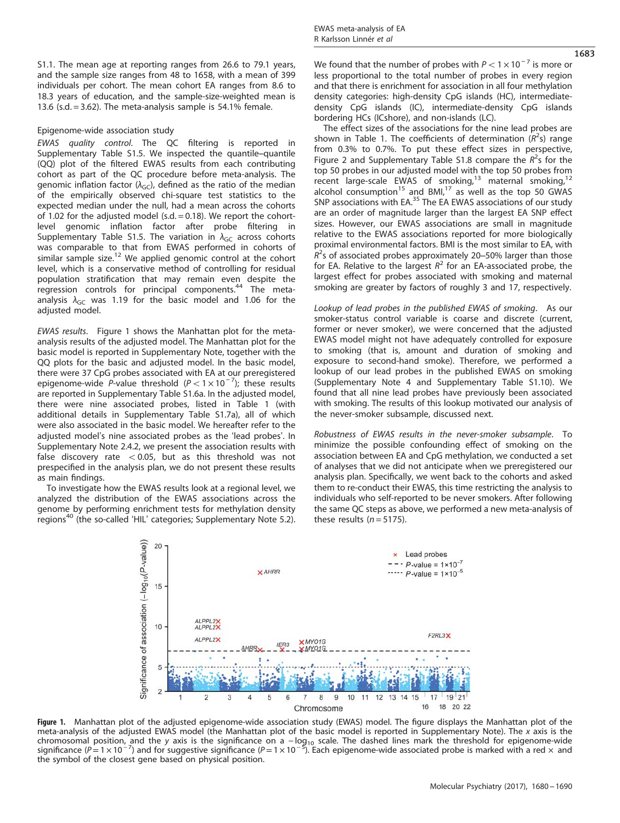S1.1. The mean age at reporting ranges from 26.6 to 79.1 years, and the sample size ranges from 48 to 1658, with a mean of 399 individuals per cohort. The mean cohort EA ranges from 8.6 to 18.3 years of education, and the sample-size-weighted mean is 13.6 (s.d.  $= 3.62$ ). The meta-analysis sample is 54.1% female.

## Epigenome-wide association study

EWAS quality control. The QC filtering is reported in Supplementary Table S1.5. We inspected the quantile–quantile (QQ) plot of the filtered EWAS results from each contributing cohort as part of the QC procedure before meta-analysis. The genomic inflation factor  $(\lambda_{\text{GC}})$ , defined as the ratio of the median of the empirically observed chi-square test statistics to the expected median under the null, had a mean across the cohorts of 1.02 for the adjusted model (s.d.  $= 0.18$ ). We report the cohortlevel genomic inflation factor after probe filtering in Supplementary Table S1.5. The variation in  $\lambda_{GC}$  across cohorts was comparable to that from EWAS performed in cohorts of similar sample size.<sup>[12](#page-9-0)</sup> We applied genomic control at the cohort level, which is a conservative method of controlling for residual population stratification that may remain even despite the regression controls for principal components.<sup>[44](#page-9-0)</sup> The metaanalysis  $\lambda_{\text{GC}}$  was 1.19 for the basic model and 1.06 for the adjusted model.

EWAS results. Figure 1 shows the Manhattan plot for the metaanalysis results of the adjusted model. The Manhattan plot for the basic model is reported in Supplementary Note, together with the QQ plots for the basic and adjusted model. In the basic model, there were 37 CpG probes associated with EA at our preregistered epigenome-wide P-value threshold  $(P < 1 \times 10^{-7})$ ; these results are reported in Supplementary Table S1.6a. In the adjusted model, there were nine associated probes, listed in [Table 1](#page-4-0) (with additional details in Supplementary Table S1.7a), all of which were also associated in the basic model. We hereafter refer to the adjusted model's nine associated probes as the 'lead probes'. In Supplementary Note 2.4.2, we present the association results with false discovery rate  $< 0.05$ , but as this threshold was not prespecified in the analysis plan, we do not present these results as main findings.

To investigate how the EWAS results look at a regional level, we analyzed the distribution of the EWAS associations across the genome by performing enrichment tests for methylation density regions<sup>[40](#page-9-0)</sup> (the so-called 'HIL' categories; Supplementary Note 5.2). 1683

We found that the number of probes with  $P < 1 \times 10^{-7}$  is more or less proportional to the total number of probes in every region and that there is enrichment for association in all four methylation density categories: high-density CpG islands (HC), intermediatedensity CpG islands (IC), intermediate-density CpG islands bordering HCs (ICshore), and non-islands (LC).

The effect sizes of the associations for the nine lead probes are shown in [Table 1.](#page-4-0) The coefficients of determination  $(R^2s)$  range from 0.3% to 0.7%. To put these effect sizes in perspective, [Figure 2](#page-4-0) and Supplementary Table S1.8 compare the  $R^2$ s for the top 50 probes in our adjusted model with the top 50 probes from recent large-scale EWAS of smoking,<sup>[13](#page-9-0)</sup> maternal smoking,<sup>1</sup> alcohol consumption<sup>[15](#page-9-0)</sup> and BMI,<sup>[17](#page-9-0)</sup> as well as the top 50 GWAS SNP associations with EA.<sup>[35](#page-9-0)</sup> The EA EWAS associations of our study are an order of magnitude larger than the largest EA SNP effect sizes. However, our EWAS associations are small in magnitude relative to the EWAS associations reported for more biologically proximal environmental factors. BMI is the most similar to EA, with  $R^2$ s of associated probes approximately 20–50% larger than those for EA. Relative to the largest  $R^2$  for an EA-associated probe, the largest effect for probes associated with smoking and maternal smoking are greater by factors of roughly 3 and 17, respectively.

Lookup of lead probes in the published EWAS of smoking. As our smoker-status control variable is coarse and discrete (current, former or never smoker), we were concerned that the adjusted EWAS model might not have adequately controlled for exposure to smoking (that is, amount and duration of smoking and exposure to second-hand smoke). Therefore, we performed a lookup of our lead probes in the published EWAS on smoking (Supplementary Note 4 and Supplementary Table S1.10). We found that all nine lead probes have previously been associated with smoking. The results of this lookup motivated our analysis of the never-smoker subsample, discussed next.

Robustness of EWAS results in the never-smoker subsample. To minimize the possible confounding effect of smoking on the association between EA and CpG methylation, we conducted a set of analyses that we did not anticipate when we preregistered our analysis plan. Specifically, we went back to the cohorts and asked them to re-conduct their EWAS, this time restricting the analysis to individuals who self-reported to be never smokers. After following the same QC steps as above, we performed a new meta-analysis of these results  $(n = 5175)$ .



Figure 1. Manhattan plot of the adjusted epigenome-wide association study (EWAS) model. The figure displays the Manhattan plot of the meta-analysis of the adjusted EWAS model (the Manhattan plot of the basic model is reported in Supplementary Note). The  $x$  axis is the chromosomal position, and the y axis is the significance on a − log<sub>10</sub> scale. The dashed lines mark the threshold for epigenome-wide significance (P = 1 × 10<sup>-7</sup>) and for suggestive significance (P = 1 × 10<sup>-5</sup>). Each epigenome-wide associated probe is marked with a red × and the symbol of the closest gene based on physical position.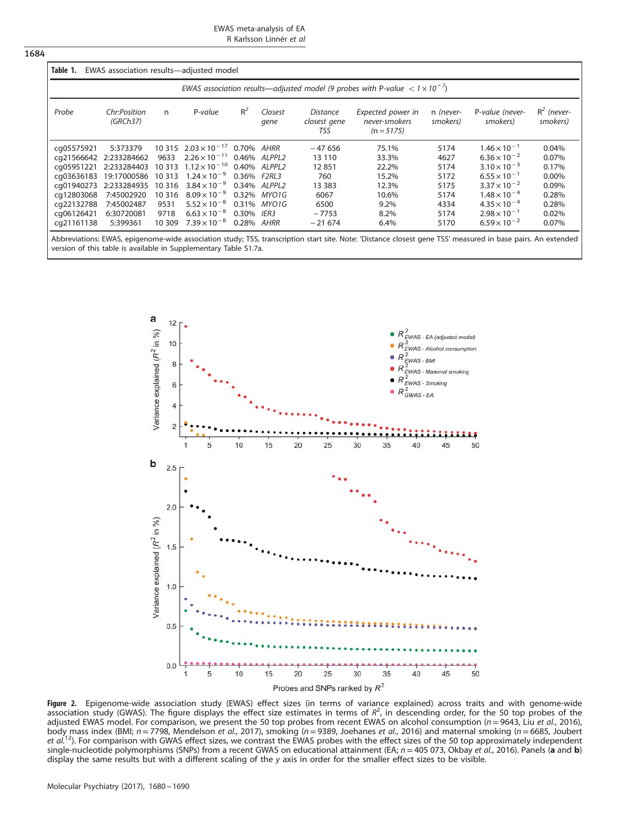EWAS meta-analysis of EA R Karlsson Linnér et al

<span id="page-4-0"></span>

| EWAS association results—adjusted model (9 probes with P-value $< 1 \times 10^{-7}$ ) |                          |         |                                  |             |                 |                                 |                                                    |                       |                             |                           |
|---------------------------------------------------------------------------------------|--------------------------|---------|----------------------------------|-------------|-----------------|---------------------------------|----------------------------------------------------|-----------------------|-----------------------------|---------------------------|
| Probe                                                                                 | Chr:Position<br>(GRCh37) | n       | P-value                          | $R^2$       | Closest<br>gene | Distance<br>closest gene<br>TSS | Expected power in<br>never-smokers<br>$(n = 5175)$ | n (never-<br>smokers) | P-value (never-<br>smokers) | $R^2$ (never-<br>smokers) |
| cq05575921                                                                            | 5:373379                 |         | $10\,315$ $2.03 \times 10^{-17}$ | 0.70% AHRR  |                 | $-47656$                        | 75.1%                                              | 5174                  | $1.46 \times 10^{-1}$       | 0.04%                     |
|                                                                                       | ca21566642 2:233284662   | 9633    | $2.26 \times 10^{-11}$           |             | 0.46% ALPPL2    | 13 110                          | 33.3%                                              | 4627                  | $6.36 \times 10^{-2}$       | 0.07%                     |
| cq05951221                                                                            | 2:233284403              |         | $10313$ $1.12 \times 10^{-10}$   |             | 0.40% ALPPL2    | 12851                           | 22.2%                                              | 5174                  | $3.10 \times 10^{-3}$       | 0.17%                     |
| ca03636183                                                                            | 19:17000586              | 10 3 13 | $1.24 \times 10^{-9}$            | 0.36% F2RL3 |                 | 760                             | 15.2%                                              | 5172                  | $6.55 \times 10^{-1}$       | 0.00%                     |
| cg01940273                                                                            | 2:233284935              | 10 3 16 | $3.84 \times 10^{-9}$            |             | 0.34% ALPPL2    | 13 3 8 3                        | 12.3%                                              | 5175                  | $3.37 \times 10^{-2}$       | 0.09%                     |
| ca12803068                                                                            | 7:45002920               | 10 316  | $8.09 \times 10^{-9}$            |             | 0.32% MYO1G     | 6067                            | 10.6%                                              | 5174                  | $1.48 \times 10^{-4}$       | 0.28%                     |
| cq22132788                                                                            | 7:45002487               | 9531    | $5.52 \times 10^{-8}$            |             | 0.31% MYO1G     | 6500                            | 9.2%                                               | 4334                  | $4.35 \times 10^{-4}$       | 0.28%                     |
| cg06126421                                                                            | 6:30720081               | 9718    | $6.63 \times 10^{-8}$            | 0.30% IER3  |                 | $-7753$                         | 8.2%                                               | 5174                  | $2.98 \times 10^{-1}$       | 0.02%                     |
| cq21161138                                                                            | 5:399361                 | 10 309  | $7.39 \times 10^{-8}$            | 0.28% AHRR  |                 | $-21674$                        | 6.4%                                               | 5170                  | $6.59 \times 10^{-2}$       | 0.07%                     |

Abbreviations: EWAS, epigenome-wide association study; TSS, transcription start site. Note: 'Distance closest gene TSS' measured in base pairs. An extended version of this table is available in Supplementary Table S1.7a.



**Figure 2.** Epigenome-wide association study (EWAS) effect sizes (in terms of variance explained) across traits and with genome-wide<br>association study (GWAS). The figure displays the effect size estimates in terms of R<sup>2</sup>, adjusted EWAS model. For comparison, we present the 50 top probes from recent EWAS on alcohol consumption (n=9643, Liu et al., 2016), body mass index (BMI; n = 7798, Mendelson *et al.*, 2017), smoking (n = 9389, Joehanes *et al.*, 2016) and maternal smoking (n = 6685, Joubert<br>*et al.*<sup>12</sup>). For comparison with GWAS effect sizes, we contrast the EWAS prob single-nucleotide polymorphisms (SNPs) from a recent GWAS on educational attainment (EA;  $n = 405073$ , Okbay et al., 2016). Panels (a and b) display the same results but with a different scaling of the y axis in order for the smaller effect sizes to be visible.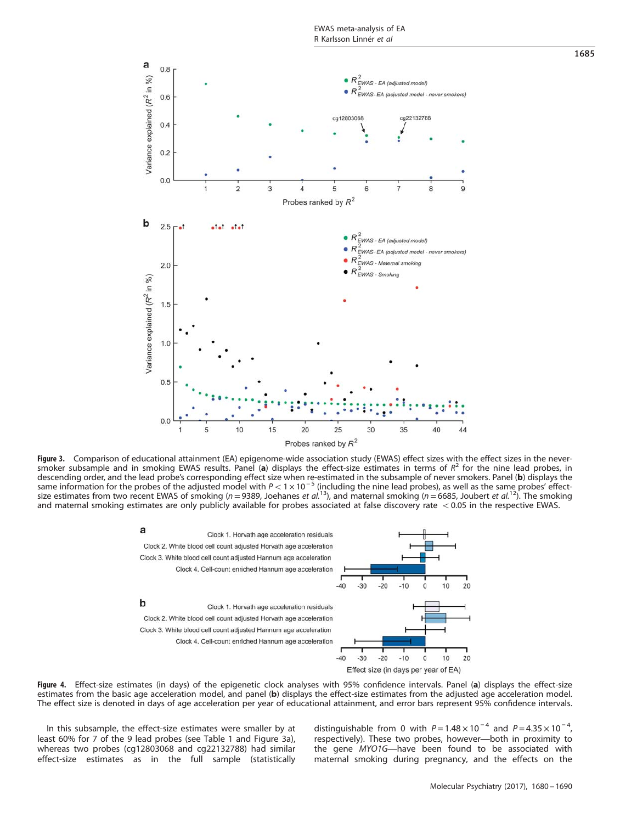<span id="page-5-0"></span>

Figure 3. Comparison of educational attainment (EA) epigenome-wide association study (EWAS) effect sizes with the effect sizes in the neversmoker subsample and in smoking EWAS results. Panel (a) displays the effect-size estimates in terms of  $R^2$  for the nine lead probes, in descending order, and the lead probe's corresponding effect size when re-estimated in the subsample of never smokers. Panel (**b**) displays the same information for the lead probes' effect-<br>same information for the probes size estimates from two recent EWAS of smoking (n=9389, Joehanes et al.<sup>13</sup>), and maternal smoking (n=6685, Joubert et al.<sup>[12](#page-9-0)</sup>). The smoking and maternal smoking estimates are only publicly available for probes associated at false discovery rate  $<$  0.05 in the respective EWAS.



Figure 4. Effect-size estimates (in days) of the epigenetic clock analyses with 95% confidence intervals. Panel (a) displays the effect-size estimates from the basic age acceleration model, and panel (b) displays the effect-size estimates from the adjusted age acceleration model. The effect size is denoted in days of age acceleration per year of educational attainment, and error bars represent 95% confidence intervals.

In this subsample, the effect-size estimates were smaller by at least 60% for 7 of the 9 lead probes (see [Table 1](#page-4-0) and Figure 3a), whereas two probes (cg12803068 and cg22132788) had similar effect-size estimates as in the full sample (statistically

distinguishable from 0 with  $P = 1.48 \times 10^{-4}$  and  $P = 4.35 \times 10^{-4}$ , respectively). These two probes, however—both in proximity to the gene MYO1G—have been found to be associated with maternal smoking during pregnancy, and the effects on the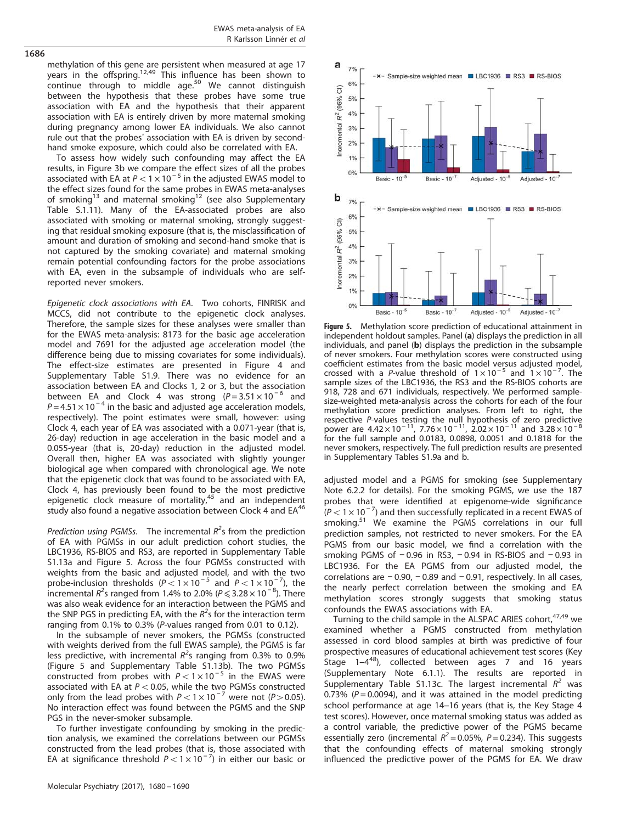methylation of this gene are persistent when measured at age 17 years in the offspring.<sup>[12](#page-9-0),[49](#page-10-0)</sup> This influence has been shown to continue through to middle age[.50](#page-10-0) We cannot distinguish between the hypothesis that these probes have some true association with EA and the hypothesis that their apparent association with EA is entirely driven by more maternal smoking during pregnancy among lower EA individuals. We also cannot rule out that the probes' association with EA is driven by secondhand smoke exposure, which could also be correlated with EA.

To assess how widely such confounding may affect the EA results, in [Figure 3b](#page-5-0) we compare the effect sizes of all the probes associated with EA at  $P < 1 \times 10^{-5}$  in the adjusted EWAS model to the effect sizes found for the same probes in EWAS meta-analyses of smoking<sup>[13](#page-9-0)</sup> and maternal smoking<sup>[12](#page-9-0)</sup> (see also Supplementary Table S.1.11). Many of the EA-associated probes are also associated with smoking or maternal smoking, strongly suggesting that residual smoking exposure (that is, the misclassification of amount and duration of smoking and second-hand smoke that is not captured by the smoking covariate) and maternal smoking remain potential confounding factors for the probe associations with EA, even in the subsample of individuals who are selfreported never smokers.

Epigenetic clock associations with EA. Two cohorts, FINRISK and MCCS, did not contribute to the epigenetic clock analyses. Therefore, the sample sizes for these analyses were smaller than for the EWAS meta-analysis: 8173 for the basic age acceleration model and 7691 for the adjusted age acceleration model (the difference being due to missing covariates for some individuals). The effect-size estimates are presented in [Figure 4](#page-5-0) and Supplementary Table S1.9. There was no evidence for an association between EA and Clocks 1, 2 or 3, but the association between EA and Clock 4 was strong  $(P=3.51 \times 10^{-6}$  and  $P = 4.51 \times 10^{-4}$  in the basic and adjusted age acceleration models, respectively). The point estimates were small, however: using Clock 4, each year of EA was associated with a 0.071-year (that is, 26-day) reduction in age acceleration in the basic model and a 0.055-year (that is, 20-day) reduction in the adjusted model. Overall then, higher EA was associated with slightly younger biological age when compared with chronological age. We note that the epigenetic clock that was found to be associated with EA, Clock 4, has previously been found to be the most predictive epigenetic clock measure of mortality, $45$  and an independent study also found a negative association between Clock 4 and EA<sup>[46](#page-9-0)</sup>

Prediction using PGMSs. The incremental  $R^2$ s from the prediction of EA with PGMSs in our adult prediction cohort studies, the LBC1936, RS-BIOS and RS3, are reported in Supplementary Table S1.13a and Figure 5. Across the four PGMSs constructed with weights from the basic and adjusted model, and with the two probe-inclusion thresholds  $(P < 1 \times 10^{-5}$  and  $P < 1 \times 10^{-7}$ ), the incremental  $R^2$ s ranged from 1.4% to 2.0% ( $P \leqslant 3.28 \times 10^{-8}$ ). There was also weak evidence for an interaction between the PGMS and the SNP PGS in predicting EA, with the  $R^2$ s for the interaction term ranging from 0.1% to 0.3% (P-values ranged from 0.01 to 0.12).

In the subsample of never smokers, the PGMSs (constructed with weights derived from the full EWAS sample), the PGMS is far less predictive, with incremental  $R^2$ s ranging from 0.3% to 0.9% (Figure 5 and Supplementary Table S1.13b). The two PGMSs constructed from probes with  $P < 1 \times 10^{-5}$  in the EWAS were associated with EA at  $P < 0.05$ , while the two PGMSs constructed only from the lead probes with  $P < 1 \times 10^{-7}$  were not (P>0.05). No interaction effect was found between the PGMS and the SNP PGS in the never-smoker subsample.

To further investigate confounding by smoking in the prediction analysis, we examined the correlations between our PGMSs constructed from the lead probes (that is, those associated with EA at significance threshold  $P < 1 \times 10^{-7}$ ) in either our basic or



Figure 5. Methylation score prediction of educational attainment in independent holdout samples. Panel (a) displays the prediction in all individuals, and panel (b) displays the prediction in the subsample of never smokers. Four methylation scores were constructed using coefficient estimates from the basic model versus adjusted model, crossed with a P-value threshold of  $1 \times 10^{-5}$  and  $1 \times 10^{-7}$  $\sqrt{ }$ . The sample sizes of the LBC1936, the RS3 and the RS-BIOS cohorts are 918, 728 and 671 individuals, respectively. We performed samplesize-weighted meta-analysis across the cohorts for each of the four methylation score prediction analyses. From left to right, the respective P-values testing the null hypothesis of zero predictive power are  $4.42 \times 10^{-11}$ ,  $7.76 \times 10^{-11}$ ,  $2.02 \times 10^{-11}$  and  $3.28 \times 10^{-1}$ for the full sample and 0.0183, 0.0898, 0.0051 and 0.1818 for the never smokers, respectively. The full prediction results are presented in Supplementary Tables S1.9a and b.

adjusted model and a PGMS for smoking (see Supplementary Note 6.2.2 for details). For the smoking PGMS, we use the 187 probes that were identified at epigenome-wide significance  $(P < 1 \times 10^{-7})$  and then successfully replicated in a recent EWAS of smoking.<sup>[51](#page-10-0)</sup> We examine the PGMS correlations in our full prediction samples, not restricted to never smokers. For the EA PGMS from our basic model, we find a correlation with the smoking PGMS of -0.96 in RS3, -0.94 in RS-BIOS and -0.93 in LBC1936. For the EA PGMS from our adjusted model, the correlations are − 0.90, − 0.89 and − 0.91, respectively. In all cases, the nearly perfect correlation between the smoking and EA methylation scores strongly suggests that smoking status confounds the EWAS associations with EA.

Turning to the child sample in the ALSPAC ARIES cohort,<sup>[47,49](#page-10-0)</sup> we examined whether a PGMS constructed from methylation assessed in cord blood samples at birth was predictive of four prospective measures of educational achievement test scores (Key Stage 1–4<sup>48</sup>), collected between ages 7 and 16 years (Supplementary Note 6.1.1). The results are reported in Supplementary Table S1.13c. The largest incremental  $R^2$  was 0.73% ( $P = 0.0094$ ), and it was attained in the model predicting school performance at age 14–16 years (that is, the Key Stage 4 test scores). However, once maternal smoking status was added as a control variable, the predictive power of the PGMS became essentially zero (incremental  $R^2 = 0.05\%$ ,  $P = 0.234$ ). This suggests that the confounding effects of maternal smoking strongly influenced the predictive power of the PGMS for EA. We draw

# 1686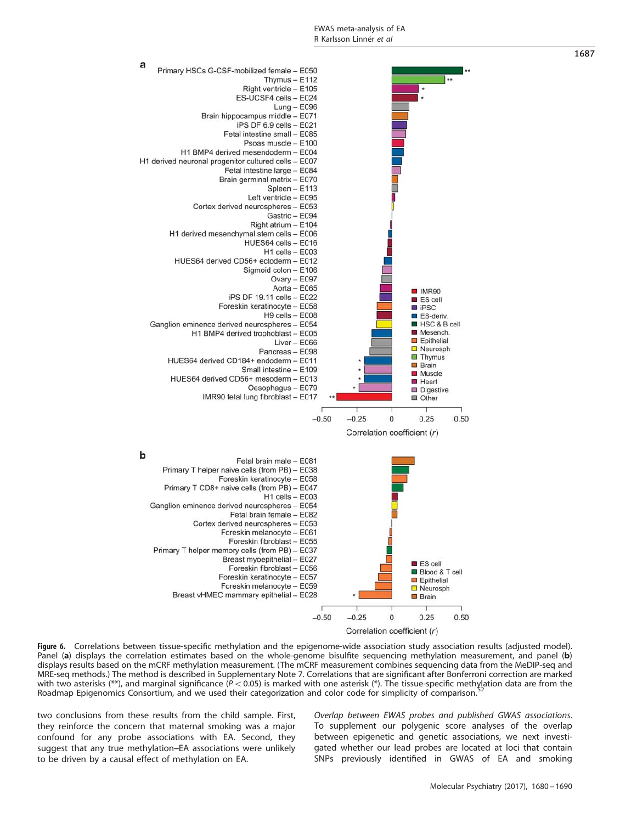<span id="page-7-0"></span>

Figure 6. Correlations between tissue-specific methylation and the epigenome-wide association study association results (adjusted model). Panel (a) displays the correlation estimates based on the whole-genome bisulfite sequencing methylation measurement, and panel (b) displays results based on the mCRF methylation measurement. (The mCRF measurement combines sequencing data from the MeDIP-seq and MRE-seq methods.) The method is described in Supplementary Note 7. Correlations that are significant after Bonferroni correction are marked with two asterisks (\*\*), and marginal significance ( $P < 0.05$ ) is marked with one asterisk (\*). The tissue-specific methylation data are from the Roadmap Epigenomics Consortium, and we used their categorization and color code for simplicity of comparison.<sup>5</sup>

two conclusions from these results from the child sample. First, they reinforce the concern that maternal smoking was a major confound for any probe associations with EA. Second, they suggest that any true methylation–EA associations were unlikely to be driven by a causal effect of methylation on EA.

Overlap between EWAS probes and published GWAS associations. To supplement our polygenic score analyses of the overlap between epigenetic and genetic associations, we next investigated whether our lead probes are located at loci that contain SNPs previously identified in GWAS of EA and smoking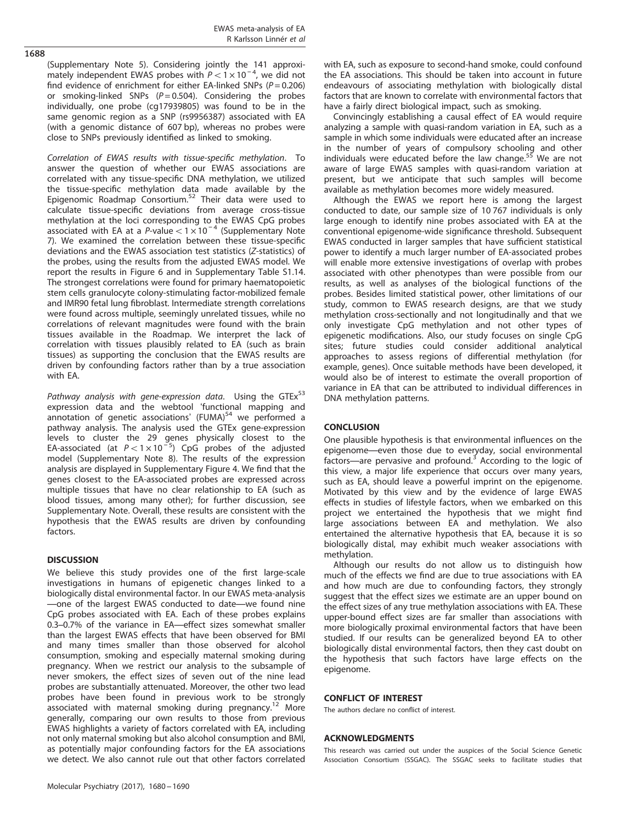(Supplementary Note 5). Considering jointly the 141 approximately independent EWAS probes with  $P < 1 \times 10^{-4}$ , we did not find evidence of enrichment for either EA-linked SNPs ( $P = 0.206$ ) or smoking-linked SNPs  $(P = 0.504)$ . Considering the probes individually, one probe (cg17939805) was found to be in the same genomic region as a SNP (rs9956387) associated with EA (with a genomic distance of 607 bp), whereas no probes were close to SNPs previously identified as linked to smoking.

Correlation of EWAS results with tissue-specific methylation. To answer the question of whether our EWAS associations are correlated with any tissue-specific DNA methylation, we utilized the tissue-specific methylation data made available by the Epigenomic Roadmap Consortium.[52](#page-10-0) Their data were used to calculate tissue-specific deviations from average cross-tissue methylation at the loci corresponding to the EWAS CpG probes<br>associated with EA at a P-value <  $1 \times 10^{-4}$  (Supplementary Note 7). We examined the correlation between these tissue-specific deviations and the EWAS association test statistics (Z-statistics) of the probes, using the results from the adjusted EWAS model. We report the results in [Figure 6](#page-7-0) and in Supplementary Table S1.14. The strongest correlations were found for primary haematopoietic stem cells granulocyte colony-stimulating factor-mobilized female and IMR90 fetal lung fibroblast. Intermediate strength correlations were found across multiple, seemingly unrelated tissues, while no correlations of relevant magnitudes were found with the brain tissues available in the Roadmap. We interpret the lack of correlation with tissues plausibly related to EA (such as brain tissues) as supporting the conclusion that the EWAS results are driven by confounding factors rather than by a true association with EA.

Pathway analysis with gene-expression data. Using the GTEx<sup>[53](#page-10-0)</sup> expression data and the webtool 'functional mapping and annotation of genetic associations' (FUMA)<sup>54</sup> we performed a pathway analysis. The analysis used the GTEx gene-expression levels to cluster the 29 genes physically closest to the EA-associated (at  $P < 1 \times 10^{-5}$ ) CpG probes of the adjusted model (Supplementary Note 8). The results of the expression analysis are displayed in Supplementary Figure 4. We find that the genes closest to the EA-associated probes are expressed across multiple tissues that have no clear relationship to EA (such as blood tissues, among many other); for further discussion, see Supplementary Note. Overall, these results are consistent with the hypothesis that the EWAS results are driven by confounding factors.

# **DISCUSSION**

We believe this study provides one of the first large-scale investigations in humans of epigenetic changes linked to a biologically distal environmental factor. In our EWAS meta-analysis —one of the largest EWAS conducted to date—we found nine CpG probes associated with EA. Each of these probes explains 0.3–0.7% of the variance in EA—effect sizes somewhat smaller than the largest EWAS effects that have been observed for BMI and many times smaller than those observed for alcohol consumption, smoking and especially maternal smoking during pregnancy. When we restrict our analysis to the subsample of never smokers, the effect sizes of seven out of the nine lead probes are substantially attenuated. Moreover, the other two lead probes have been found in previous work to be strongly associated with maternal smoking during pregnancy.<sup>[12](#page-9-0)</sup> More generally, comparing our own results to those from previous EWAS highlights a variety of factors correlated with EA, including not only maternal smoking but also alcohol consumption and BMI, as potentially major confounding factors for the EA associations we detect. We also cannot rule out that other factors correlated with EA, such as exposure to second-hand smoke, could confound the EA associations. This should be taken into account in future endeavours of associating methylation with biologically distal factors that are known to correlate with environmental factors that have a fairly direct biological impact, such as smoking.

Convincingly establishing a causal effect of EA would require analyzing a sample with quasi-random variation in EA, such as a sample in which some individuals were educated after an increase in the number of years of compulsory schooling and other individuals were educated before the law change.<sup>[55](#page-10-0)</sup> We are not aware of large EWAS samples with quasi-random variation at present, but we anticipate that such samples will become available as methylation becomes more widely measured.

Although the EWAS we report here is among the largest conducted to date, our sample size of 10 767 individuals is only large enough to identify nine probes associated with EA at the conventional epigenome-wide significance threshold. Subsequent EWAS conducted in larger samples that have sufficient statistical power to identify a much larger number of EA-associated probes will enable more extensive investigations of overlap with probes associated with other phenotypes than were possible from our results, as well as analyses of the biological functions of the probes. Besides limited statistical power, other limitations of our study, common to EWAS research designs, are that we study methylation cross-sectionally and not longitudinally and that we only investigate CpG methylation and not other types of epigenetic modifications. Also, our study focuses on single CpG sites; future studies could consider additional analytical approaches to assess regions of differential methylation (for example, genes). Once suitable methods have been developed, it would also be of interest to estimate the overall proportion of variance in EA that can be attributed to individual differences in DNA methylation patterns.

# **CONCLUSION**

One plausible hypothesis is that environmental influences on the epigenome—even those due to everyday, social environmental factors—are pervasive and profound. $3$  According to the logic of this view, a major life experience that occurs over many years, such as EA, should leave a powerful imprint on the epigenome. Motivated by this view and by the evidence of large EWAS effects in studies of lifestyle factors, when we embarked on this project we entertained the hypothesis that we might find large associations between EA and methylation. We also entertained the alternative hypothesis that EA, because it is so biologically distal, may exhibit much weaker associations with methylation.

Although our results do not allow us to distinguish how much of the effects we find are due to true associations with EA and how much are due to confounding factors, they strongly suggest that the effect sizes we estimate are an upper bound on the effect sizes of any true methylation associations with EA. These upper-bound effect sizes are far smaller than associations with more biologically proximal environmental factors that have been studied. If our results can be generalized beyond EA to other biologically distal environmental factors, then they cast doubt on the hypothesis that such factors have large effects on the epigenome.

# CONFLICT OF INTEREST

The authors declare no conflict of interest.

# ACKNOWLEDGMENTS

This research was carried out under the auspices of the Social Science Genetic Association Consortium (SSGAC). The SSGAC seeks to facilitate studies that

# 1688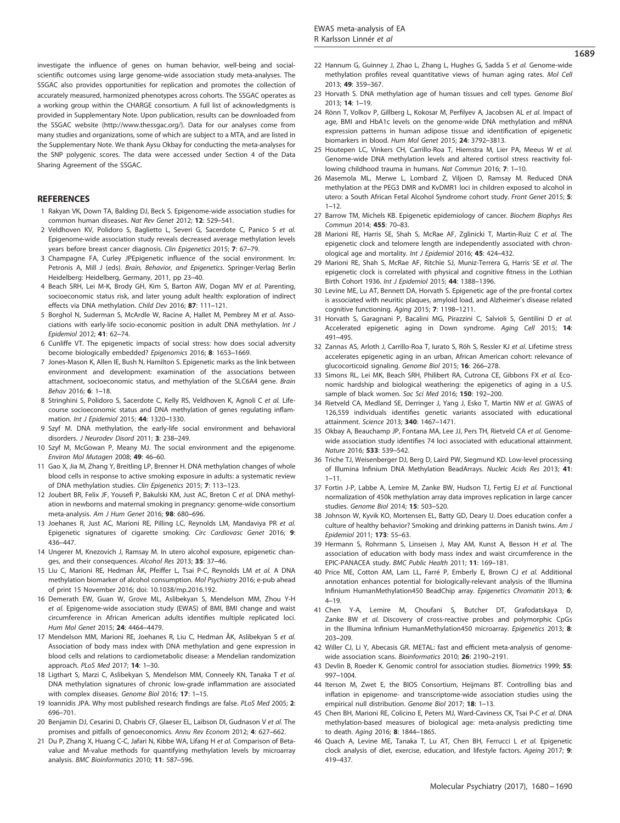<span id="page-9-0"></span>investigate the influence of genes on human behavior, well-being and socialscientific outcomes using large genome-wide association study meta-analyses. The SSGAC also provides opportunities for replication and promotes the collection of accurately measured, harmonized phenotypes across cohorts. The SSGAC operates as a working group within the CHARGE consortium. A full list of acknowledgments is provided in Supplementary Note. Upon publication, results can be downloaded from the SSGAC website (http://www.thessgac.org/). Data for our analyses come from many studies and organizations, some of which are subject to a MTA, and are listed in the Supplementary Note. We thank Aysu Okbay for conducting the meta-analyses for the SNP polygenic scores. The data were accessed under Section 4 of the Data Sharing Agreement of the SSGAC.

## **REFERENCES**

- 1 Rakyan VK, Down TA, Balding DJ, Beck S. Epigenome-wide association studies for common human diseases. Nat Rev Genet 2012; 12: 529–541.
- 2 Veldhoven KV, Polidoro S, Baglietto L, Severi G, Sacerdote C, Panico S et al. Epigenome-wide association study reveals decreased average methylation levels years before breast cancer diagnosis. Clin Epigenetics 2015; 7: 67–79.
- 3 Champagne FA, Curley JPEpigenetic influence of the social environment. In: Petronis A, Mill J (eds). Brain, Behavior, and Epigenetics. Springer-Verlag Berlin Heidelberg: Heidelberg, Germany, 2011, pp 23–40.
- 4 Beach SRH, Lei M-K, Brody GH, Kim S, Barton AW, Dogan MV et al. Parenting, socioeconomic status risk, and later young adult health: exploration of indirect effects via DNA methylation. Child Dev 2016; 87: 111–121.
- 5 Borghol N, Suderman S, McArdle W, Racine A, Hallet M, Pembrey M et al. Associations with early-life socio-economic position in adult DNA methylation. Int J Epidemiol 2012; 41: 62–74.
- 6 Cunliffe VT. The epigenetic impacts of social stress: how does social adversity become biologically embedded? Epigenomics 2016; 8: 1653–1669.
- 7 Jones-Mason K, Allen IE, Bush N, Hamilton S. Epigenetic marks as the link between environment and development: examination of the associations between attachment, socioeconomic status, and methylation of the SLC6A4 gene. Brain Behav 2016; 6: 1–18.
- 8 Stringhini S, Polidoro S, Sacerdote C, Kelly RS, Veldhoven K, Agnoli C et al. Lifecourse socioeconomic status and DNA methylation of genes regulating inflammation. Int J Epidemiol 2015; 44: 1320–1330.
- 9 Szyf M. DNA methylation, the early-life social environment and behavioral disorders. J Neurodev Disord 2011; 3: 238–249.
- 10 Szyf M, McGowan P, Meany MJ. The social environment and the epigenome. Environ Mol Mutagen 2008; 49: 46–60.
- 11 Gao X, Jia M, Zhang Y, Breitling LP, Brenner H. DNA methylation changes of whole blood cells in response to active smoking exposure in adults: a systematic review of DNA methylation studies. Clin Epigenetics 2015; 7: 113–123.
- 12 Joubert BR, Felix JF, Yousefi P, Bakulski KM, Just AC, Breton C et al. DNA methylation in newborns and maternal smoking in pregnancy: genome-wide consortium meta-analysis. Am J Hum Genet 2016; 98: 680–696.
- 13 Joehanes R, Just AC, Marioni RE, Pilling LC, Reynolds LM, Mandaviya PR et al. Epigenetic signatures of cigarette smoking. Circ Cardiovasc Genet 2016; 9: 436–447.
- 14 Ungerer M, Knezovich J, Ramsay M. In utero alcohol exposure, epigenetic changes, and their consequences. Alcohol Res 2013; 35: 37–46.
- 15 Liu C, Marioni RE, Hedman ÅK, Pfeiffer L, Tsai P-C, Reynolds LM et al. A DNA methylation biomarker of alcohol consumption. Mol Psychiatry 2016; e-pub ahead of print 15 November 2016; doi: 10.1038/mp.2016.192.
- 16 Demerath EW, Guan W, Grove ML, Aslibekyan S, Mendelson MM, Zhou Y-H et al. Epigenome-wide association study (EWAS) of BMI, BMI change and waist circumference in African American adults identifies multiple replicated loci. Hum Mol Genet 2015; 24: 4464–4479.
- 17 Mendelson MM, Marioni RE, Joehanes R, Liu C, Hedman ÅK, Aslibekyan S et al. Association of body mass index with DNA methylation and gene expression in blood cells and relations to cardiometabolic disease: a Mendelian randomization approach. PLoS Med 2017; 14: 1–30.
- 18 Ligthart S, Marzi C, Aslibekyan S, Mendelson MM, Conneely KN, Tanaka T et al. DNA methylation signatures of chronic low-grade inflammation are associated with complex diseases. Genome Biol 2016; 17: 1–15.
- 19 Ioannidis JPA. Why most published research findings are false. PLoS Med 2005; 2: 696–701.
- 20 Benjamin DJ, Cesarini D, Chabris CF, Glaeser EL, Laibson DJ, Gudnason V et al. The promises and pitfalls of genoeconomics. Annu Rev Econom 2012; 4: 627–662.
- 21 Du P, Zhang X, Huang C-C, Jafari N, Kibbe WA, Lifang H et al. Comparison of Betavalue and M-value methods for quantifying methylation levels by microarray analysis. BMC Bioinformatics 2010; 11: 587–596.
- 22 Hannum G, Guinney J, Zhao L, Zhang L, Hughes G, Sadda S et al. Genome-wide methylation profiles reveal quantitative views of human aging rates. Mol Cell 2013; 49: 359–367.
- 23 Horvath S. DNA methylation age of human tissues and cell types. Genome Biol 2013; 14: 1–19.
- 24 Rönn T, Volkov P, Gillberg L, Kokosar M, Perfilyev A, Jacobsen AL et al. Impact of age, BMI and HbA1c levels on the genome-wide DNA methylation and mRNA expression patterns in human adipose tissue and identification of epigenetic biomarkers in blood. Hum Mol Genet 2015; 24: 3792–3813.
- 25 Houtepen LC, Vinkers CH, Carrillo-Roa T, Hiemstra M, Lier PA, Meeus W et al. Genome-wide DNA methylation levels and altered cortisol stress reactivity following childhood trauma in humans. Nat Commun 2016; 7: 1–10.
- 26 Masemola ML, Merwe L, Lombard Z, Viljoen D, Ramsay M. Reduced DNA methylation at the PEG3 DMR and KvDMR1 loci in children exposed to alcohol in utero: a South African Fetal Alcohol Syndrome cohort study. Front Genet 2015; 5:  $1 - 12$ .
- 27 Barrow TM, Michels KB. Epigenetic epidemiology of cancer. Biochem Biophys Res Commun 2014; 455: 70–83.
- 28 Marioni RE, Harris SE, Shah S, McRae AF, Zglinicki T, Martin-Ruiz C et al. The epigenetic clock and telomere length are independently associated with chronological age and mortality. Int J Epidemiol 2016; 45: 424–432.
- 29 Marioni RE, Shah S, McRae AF, Ritchie SJ, Muniz-Terrera G, Harris SE et al. The epigenetic clock is correlated with physical and cognitive fitness in the Lothian Birth Cohort 1936. Int J Epidemiol 2015; 44: 1388–1396.
- 30 Levine ME, Lu AT, Bennett DA, Horvath S. Epigenetic age of the pre-frontal cortex is associated with neuritic plaques, amyloid load, and Alzheimer's disease related cognitive functioning. Aging 2015; 7: 1198–1211.
- 31 Horvath S, Garagnani P, Bacalini MG, Pirazzini C, Salvioli S, Gentilini D et al. Accelerated epigenetic aging in Down syndrome. Aging Cell 2015; 14: 491–495.
- 32 Zannas AS, Arloth J, Carrillo-Roa T, Iurato S, Röh S, Ressler KJ et al. Lifetime stress accelerates epigenetic aging in an urban, African American cohort: relevance of glucocorticoid signaling. Genome Biol 2015; 16: 266–278.
- 33 Simons RL, Lei MK, Beach SRH, Philibert RA, Cutrona CE, Gibbons FX et al. Economic hardship and biological weathering: the epigenetics of aging in a U.S. sample of black women. Soc Sci Med 2016; 150: 192-200.
- 34 Rietveld CA, Medland SE, Derringer J, Yang J, Esko T, Martin NW et al. GWAS of 126,559 individuals identifies genetic variants associated with educational attainment. Science 2013; 340: 1467–1471.
- 35 Okbay A, Beauchamp JP, Fontana MA, Lee JJ, Pers TH, Rietveld CA et al. Genomewide association study identifies 74 loci associated with educational attainment. Nature 2016; 533: 539–542.
- 36 Triche TJ, Weisenberger DJ, Berg D, Laird PW, Siegmund KD. Low-level processing of Illumina Infinium DNA Methylation BeadArrays. Nucleic Acids Res 2013; 41:  $1 - 11$ .
- 37 Fortin J-P, Labbe A, Lemire M, Zanke BW, Hudson TJ, Fertig EJ et al. Functional normalization of 450k methylation array data improves replication in large cancer studies. Genome Biol 2014; 15: 503–520.
- 38 Johnson W, Kyvik KO, Mortensen EL, Batty GD, Deary IJ. Does education confer a culture of healthy behavior? Smoking and drinking patterns in Danish twins. Am J Epidemiol 2011; 173: 55–63.
- 39 Hermann S, Rohrmann S, Linseisen J, May AM, Kunst A, Besson H et al. The association of education with body mass index and waist circumference in the EPIC-PANACEA study. BMC Public Health 2011; 11: 169–181.
- 40 Price ME, Cotton AM, Lam LL, Farré P, Emberly E, Brown CJ et al. Additional annotation enhances potential for biologically-relevant analysis of the Illumina Infinium HumanMethylation450 BeadChip array. Epigenetics Chromatin 2013; 6: 4–19.
- 41 Chen Y-A, Lemire M, Choufani S, Butcher DT, Grafodatskaya D, Zanke BW et al. Discovery of cross-reactive probes and polymorphic CpGs in the Illumina Infinium HumanMethylation450 microarray. Epigenetics 2013: 8: 203–209.
- 42 Willer CJ, Li Y, Abecasis GR. METAL: fast and efficient meta-analysis of genomewide association scans. Bioinformatics 2010: 26: 2190-2191.
- 43 Devlin B, Roeder K. Genomic control for association studies. Biometrics 1999; 55: 997–1004.
- 44 Iterson M, Zwet E, the BIOS Consortium, Heijmans BT. Controlling bias and inflation in epigenome- and transcriptome-wide association studies using the empirical null distribution. Genome Biol 2017; 18: 1–13.
- 45 Chen BH, Marioni RE, Colicino E, Peters MJ, Ward-Caviness CK, Tsai P-C et al. DNA methylation-based measures of biological age: meta-analysis predicting time to death. Aging 2016; 8: 1844–1865.
- 46 Quach A, Levine ME, Tanaka T, Lu AT, Chen BH, Ferrucci L et al. Epigenetic clock analysis of diet, exercise, education, and lifestyle factors. Ageing 2017; 9: 419–437.